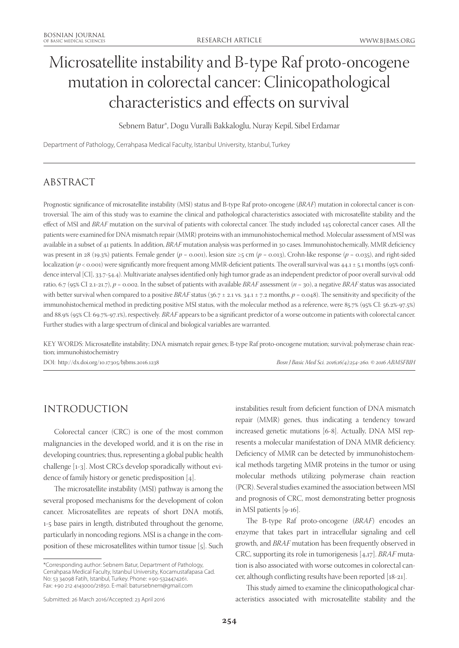# Microsatellite instability and B-type Raf proto-oncogene mutation in colorectal cancer: Clinicopathological characteristics and effects on survival

Sebnem Batur\*, Dogu Vuralli Bakkaloglu, Nuray Kepil, Sibel Erdamar

Department of Pathology, Cerrahpasa Medical Faculty, Istanbul University, Istanbul, Turkey

# ABSTRACT

Prognostic significance of microsatellite instability (MSI) status and B-type Raf proto-oncogene (*BRAF*) mutation in colorectal cancer is controversial. The aim of this study was to examine the clinical and pathological characteristics associated with microsatellite stability and the effect of MSI and *BRAF* mutation on the survival of patients with colorectal cancer. The study included 145 colorectal cancer cases. All the patients were examined for DNA mismatch repair (MMR) proteins with an immunohistochemical method. Molecular assessment of MSI was available in a subset of 41 patients. In addition, *BRAF* mutation analysis was performed in 30 cases. Immunohistochemically, MMR deficiency was present in 28 (19.3%) patients. Female gender ( $p = 0.001$ ), lesion size  $\geq 5$  cm ( $p = 0.013$ ), Crohn-like response ( $p = 0.035$ ), and right-sided localization (*p* < 0.001) were significantly more frequent among MMR-deficient patients. The overall survival was 44.1 ± 5.1 months (95% confidence interval [CI], 33.7-54.4). Multivariate analyses identified only high tumor grade as an independent predictor of poor overall survival: odd ratio, 6.7 (95% CI 2.1-21.7),  $p = 0.002$ . In the subset of patients with available *BRAF* assessment ( $n = 30$ ), a negative *BRAF* status was associated with better survival when compared to a positive *BRAF* status (36.7 ± 2.1 vs. 34.1 ± 7.2 months,  $p = 0.048$ ). The sensitivity and specificity of the immunohistochemical method in predicting positive MSI status, with the molecular method as a reference, were 85.7% (95% CI: 56.2%-97.5%) and 88.9% (95% CI: 69.7%-97.1%), respectively*. BRAF* appears to be a significant predictor of a worse outcome in patients with colorectal cancer. Further studies with a large spectrum of clinical and biological variables are warranted.

KEY WORDS: Microsatellite instability; DNA mismatch repair genes; B-type Raf proto-oncogene mutation; survival; polymerase chain reaction; immunohistochemistry

DOI: http://dx.doi.org/10.17305/bjbms.2016.1238 *Bosn J Basic Med Sci. 2016;16(4):254-260. © 2016 ABMSFBIH*

# INTRODUCTION

Colorectal cancer (CRC) is one of the most common malignancies in the developed world, and it is on the rise in developing countries; thus, representing a global public health challenge [1-3]. Most CRCs develop sporadically without evidence of family history or genetic predisposition [4].

The microsatellite instability (MSI) pathway is among the several proposed mechanisms for the development of colon cancer. Microsatellites are repeats of short DNA motifs, 1-5 base pairs in length, distributed throughout the genome, particularly in noncoding regions. MSI is a change in the composition of these microsatellites within tumor tissue [5]. Such

\*Corresponding author: Sebnem Batur, Department of Pathology, Cerrahpasa Medical Faculty, Istanbul University, Kocamustafapasa Cad. No: 53 34098 Fatih, Istanbul, Turkey. Phone: +90-5324474261. Fax: +90 212 4143000/21850. E-mail: batursebnem@gmail.com

instabilities result from deficient function of DNA mismatch repair (MMR) genes, thus indicating a tendency toward increased genetic mutations [6-8]. Actually, DNA MSI represents a molecular manifestation of DNA MMR deficiency. Deficiency of MMR can be detected by immunohistochemical methods targeting MMR proteins in the tumor or using molecular methods utilizing polymerase chain reaction (PCR). Several studies examined the association between MSI and prognosis of CRC, most demonstrating better prognosis in MSI patients [9-16].

The B-type Raf proto-oncogene (*BRAF*) encodes an enzyme that takes part in intracellular signaling and cell growth, and *BRAF* mutation has been frequently observed in CRC, supporting its role in tumorigenesis [4,17]. *BRAF* mutation is also associated with worse outcomes in colorectal cancer, although conflicting results have been reported [18-21].

This study aimed to examine the clinicopathological characteristics associated with microsatellite stability and the

Submitted: 26 March 2016/Accepted: 23 April 2016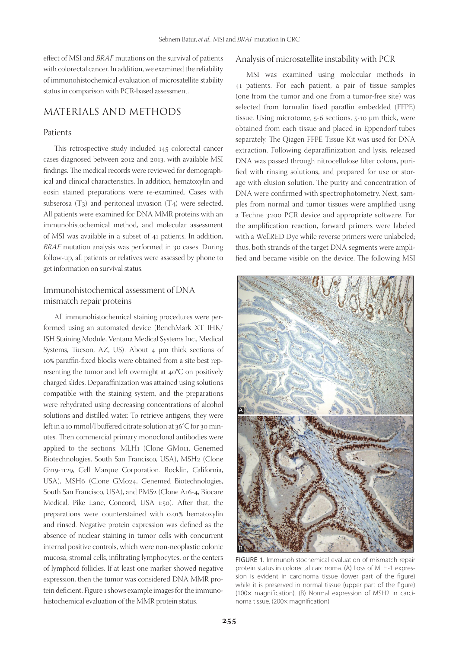effect of MSI and *BRAF* mutations on the survival of patients with colorectal cancer. In addition, we examined the reliability of immunohistochemical evaluation of microsatellite stability status in comparison with PCR-based assessment.

## MATERIALS AND METHODS

#### Patients

This retrospective study included 145 colorectal cancer cases diagnosed between 2012 and 2013, with available MSI findings. The medical records were reviewed for demographical and clinical characteristics. In addition, hematoxylin and eosin stained preparations were re-examined. Cases with subserosa  $(T_3)$  and peritoneal invasion  $(T_4)$  were selected. All patients were examined for DNA MMR proteins with an immunohistochemical method, and molecular assessment of MSI was available in a subset of 41 patients. In addition, *BRAF* mutation analysis was performed in 30 cases. During follow-up, all patients or relatives were assessed by phone to get information on survival status.

### Immunohistochemical assessment of DNA mismatch repair proteins

All immunohistochemical staining procedures were performed using an automated device (BenchMark XT IHK/ ISH Staining Module, Ventana Medical Systems Inc., Medical Systems, Tucson, AZ, US). About 4  $\mu$ m thick sections of 10% paraffin-fixed blocks were obtained from a site best representing the tumor and left overnight at 40°C on positively charged slides. Deparaffinization was attained using solutions compatible with the staining system, and the preparations were rehydrated using decreasing concentrations of alcohol solutions and distilled water. To retrieve antigens, they were left in a 10 mmol/l buffered citrate solution at 36°C for 30 minutes. Then commercial primary monoclonal antibodies were applied to the sections: MLH1 (Clone GM011, Genemed Biotechnologies, South San Francisco, USA), MSH2 (Clone G219-1129, Cell Marque Corporation. Rocklin, California, USA), MSH6 (Clone GM024, Genemed Biotechnologies, South San Francisco, USA), and PMS2 (Clone A16-4, Biocare Medical, Pike Lane, Concord, USA 1:50). After that, the preparations were counterstained with 0.01% hematoxylin and rinsed. Negative protein expression was defined as the absence of nuclear staining in tumor cells with concurrent internal positive controls, which were non-neoplastic colonic mucosa, stromal cells, infiltrating lymphocytes, or the centers of lymphoid follicles. If at least one marker showed negative expression, then the tumor was considered DNA MMR protein deficient. Figure 1 shows example images for the immunohistochemical evaluation of the MMR protein status.

#### Analysis of microsatellite instability with PCR

MSI was examined using molecular methods in 41 patients. For each patient, a pair of tissue samples (one from the tumor and one from a tumor-free site) was selected from formalin fixed paraffin embedded (FFPE) tissue. Using microtome, 5-6 sections, 5-10 µm thick, were obtained from each tissue and placed in Eppendorf tubes separately. The Qiagen FFPE Tissue Kit was used for DNA extraction. Following deparaffinization and lysis, released DNA was passed through nitrocellulose filter colons, purified with rinsing solutions, and prepared for use or storage with elusion solution. The purity and concentration of DNA were confirmed with spectrophotometry. Next, samples from normal and tumor tissues were amplified using a Techne 3200 PCR device and appropriate software. For the amplification reaction, forward primers were labeled with a WellRED Dye while reverse primers were unlabeled; thus, both strands of the target DNA segments were amplified and became visible on the device. The following MSI



FIGURE 1. Immunohistochemical evaluation of mismatch repair protein status in colorectal carcinoma. (A) Loss of MLH-1 expression is evident in carcinoma tissue (lower part of the figure) while it is preserved in normal tissue (upper part of the figure) (100× magnification). (B) Normal expression of MSH2 in carcinoma tissue. (200× magnification)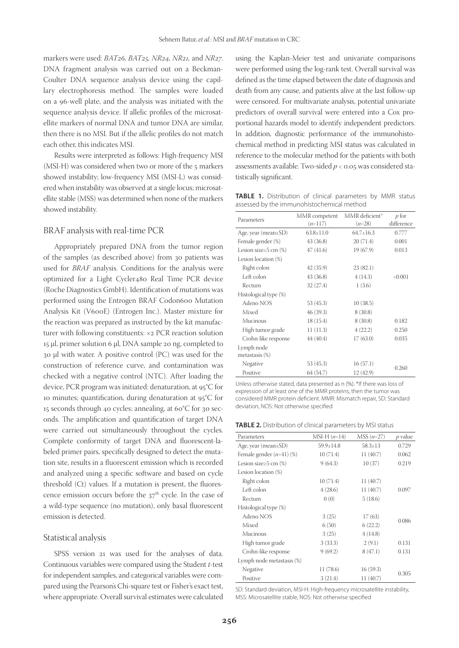markers were used: *BAT26, BAT25, NR24, NR21,* and *NR27*. DNA fragment analysis was carried out on a Beckman-Coulter DNA sequence analysis device using the capillary electrophoresis method. The samples were loaded on a 96-well plate, and the analysis was initiated with the sequence analysis device. If allelic profiles of the microsatellite markers of normal DNA and tumor DNA are similar, then there is no MSI. But if the allelic profiles do not match each other, this indicates MSI.

Results were interpreted as follows: High-frequency MSI (MSI-H) was considered when two or more of the 5 markers showed instability; low-frequency MSI (MSI-L) was considered when instability was observed at a single locus; microsatellite stable (MSS) was determined when none of the markers showed instability.

#### BRAF analysis with real-time PCR

Appropriately prepared DNA from the tumor region of the samples (as described above) from 30 patients was used for *BRAF* analysis. Conditions for the analysis were optimized for a Light Cycler480 Real Time PCR device (Roche Diagnostics GmbH). Identification of mutations was performed using the Entrogen BRAF Codon600 Mutation Analysis Kit (V600E) (Entrogen Inc.). Master mixture for the reaction was prepared as instructed by the kit manufacturer with following constituents: ×2 PCR reaction solution 15 μl, primer solution 6 μl, DNA sample 20 ng, completed to 30 μl with water. A positive control (PC) was used for the construction of reference curve, and contamination was checked with a negative control (NTC). After loading the device, PCR program was initiated: denaturation, at 95°C for 10 minutes; quantification, during denaturation at 95°C for 15 seconds through 40 cycles; annealing, at 60°C for 30 seconds. The amplification and quantification of target DNA were carried out simultaneously throughout the cycles. Complete conformity of target DNA and fluorescent-labeled primer pairs, specifically designed to detect the mutation site, results in a fluorescent emission which is recorded and analyzed using a specific software and based on cycle threshold (Ct) values. If a mutation is present, the fluorescence emission occurs before the  $37<sup>th</sup>$  cycle. In the case of a wild-type sequence (no mutation), only basal fluorescent emission is detected.

#### Statistical analysis

SPSS version 21 was used for the analyses of data. Continuous variables were compared using the Student *t*-test for independent samples, and categorical variables were compared using the Pearson's Chi-square test or Fisher's exact test, where appropriate. Overall survival estimates were calculated

using the Kaplan-Meier test and univariate comparisons were performed using the log-rank test. Overall survival was defined as the time elapsed between the date of diagnosis and death from any cause, and patients alive at the last follow-up were censored. For multivariate analysis, potential univariate predictors of overall survival were entered into a Cox proportional hazards model to identify independent predictors. In addition, diagnostic performance of the immunohistochemical method in predicting MSI status was calculated in reference to the molecular method for the patients with both assessments available. Two-sided *p* < 0.05 was considered statistically significant.

**TABLE 1.** Distribution of clinical parameters by MMR status assessed by the immunohistochemical method

| Parameters                     | MMR competent<br>$(n=117)$ | MMR deficient <sup>*</sup><br>$(n=28)$ | p for<br>difference |
|--------------------------------|----------------------------|----------------------------------------|---------------------|
| Age, year (mean $\pm$ SD)      | $63.8 \pm 11.0$            | $64.7+16.3$                            | 0.777               |
| Female gender (%)              | 43 (36.8)                  | 20(71.4)                               | 0.001               |
| Lesion size $\geq$ 5 cm $(\%)$ | 47(41.6)                   | 19(67.9)                               | 0.013               |
| Lesion location (%)            |                            |                                        |                     |
| Right colon                    | 42 (35.9)                  | 23(82.1)                               |                     |
| Left colon                     | 43 (36.8)                  | 4(14.3)                                | < 0.001             |
| Rectum                         | 32 (27.4)                  | 1(3.6)                                 |                     |
| Histological type (%)          |                            |                                        |                     |
| Adeno NOS                      | 53 (45.3)                  | 10(38.5)                               |                     |
| Mixed                          | 46 (39.3)                  | 8(30.8)                                |                     |
| Mucinous                       | 18(15.4)                   | 8(30.8)                                | 0.182               |
| High tumor grade               | 11(11.3)                   | 4(22.2)                                | 0.250               |
| Crohn-like response            | 44 (40.4)                  | 17(63.0)                               | 0.035               |
| Lymph node<br>metastasis (%)   |                            |                                        |                     |
| Negative                       | 53 (45.3)                  | 16(57.1)                               |                     |
| Positive                       | 64 (54.7)                  | 12 (42.9)                              | 0.260               |

Unless otherwise stated, data presented as n (%). \*If there was loss of expression of at least one of the MMR proteins, then the tumor was considered MMR protein deficient. MMR: Mismatch repair, SD: Standard deviation, NOS: Not otherwise specified

**TABLE 2.** Distribution of clinical parameters by MSI status

| Parameters                     | $MSI-H (n=14)$  | $MSS(n=27)$   | <i>p</i> value |
|--------------------------------|-----------------|---------------|----------------|
| Age, year (mean $\pm$ SD)      | $59.9 \pm 14.8$ | $58.3 \pm 13$ | 0.729          |
| Female gender $(n=41)$ (%)     | 10(71.4)        | 11 (40.7)     | 0.062          |
| Lesion size $\geq$ 5 cm $(\%)$ | 9(64.3)         | 10(37)        | 0.219          |
| Lesion location (%)            |                 |               |                |
| Right colon                    | 10(71.4)        | 11 (40.7)     |                |
| Left colon                     | 4(28.6)         | 11 (40.7)     | 0.097          |
| Rectum                         | 0(0)            | 5(18.6)       |                |
| Histological type (%)          |                 |               |                |
| Adeno NOS                      | 3(25)           | 17(63)        | 0.086          |
| Mixed                          | 6(50)           | 6(22.2)       |                |
| Mucinous                       | 3(25)           | 4(14.8)       |                |
| High tumor grade               | 3(33.3)         | 2(9.1)        | 0.131          |
| Crohn-like response            | 9(69.2)         | 8(47.1)       | 0.131          |
| Lymph node metastasis (%)      |                 |               |                |
| Negative                       | 11 (78.6)       | 16(59.3)      |                |
| Positive                       | 3(21.4)         | 11(40.7)      | 0.305          |

SD: Standard deviation, MSI-H: High-frequency microsatellite instability, MSS: Microsatellite stable, NOS: Not otherwise specified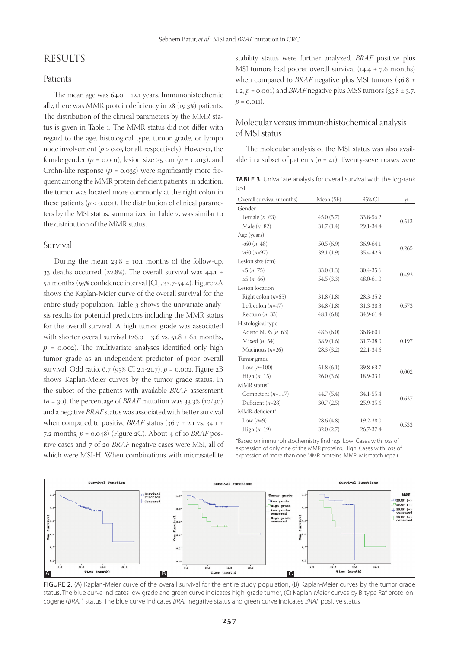## RESULTS

#### Patients

The mean age was  $64.0 \pm 12.1$  years. Immunohistochemic ally, there was MMR protein deficiency in 28 (19.3%) patients. The distribution of the clinical parameters by the MMR status is given in Table 1. The MMR status did not differ with regard to the age, histological type, tumor grade, or lymph node involvement (*p* > 0.05 for all, respectively). However, the female gender ( $p = 0.001$ ), lesion size ≥5 cm ( $p = 0.013$ ), and Crohn-like response  $(p = 0.035)$  were significantly more frequent among the MMR protein deficient patients; in addition, the tumor was located more commonly at the right colon in these patients  $(p < 0.001)$ . The distribution of clinical parameters by the MSI status, summarized in Table 2, was similar to the distribution of the MMR status.

#### Survival

During the mean  $23.8 \pm 10.1$  months of the follow-up, 33 deaths occurred (22.8%). The overall survival was  $44.1 \pm$ 5.1 months (95% confidence interval [CI], 33.7-54.4). Figure 2A shows the Kaplan-Meier curve of the overall survival for the entire study population. Table 3 shows the univariate analysis results for potential predictors including the MMR status for the overall survival. A high tumor grade was associated with shorter overall survival ( $26.0 \pm 3.6$  vs.  $51.8 \pm 6.1$  months,  $p = 0.002$ ). The multivariate analyses identified only high tumor grade as an independent predictor of poor overall survival: Odd ratio, 6.7 (95% CI 2.1-21.7), *p* = 0.002. Figure 2B shows Kaplan-Meier curves by the tumor grade status. In the subset of the patients with available *BRAF* assessment  $(n = 30)$ , the percentage of *BRAF* mutation was  $33.3\%$  (10/30) and a negative *BRAF* status was associated with better survival when compared to positive *BRAF* status ( $36.7 \pm 2.1$  vs.  $34.1 \pm$ 7.2 months, *p* = 0.048) (Figure 2C). About 4 of 10 *BRAF* positive cases and 7 of 20 *BRAF* negative cases were MSI, all of which were MSI-H. When combinations with microsatellite stability status were further analyzed, *BRAF* positive plus MSI tumors had poorer overall survival  $(14.4 \pm 7.6 \text{ months})$ when compared to *BRAF* negative plus MSI tumors (36.8 ± 1.2,  $p = 0.001$  and *BRAF* negative plus MSS tumors ( $35.8 \pm 3.7$ ,  $p = 0.011$ .

## Molecular versus immunohistochemical analysis of MSI status

The molecular analysis of the MSI status was also available in a subset of patients  $(n = 41)$ . Twenty-seven cases were

| TABLE 3. Univariate analysis for overall survival with the log-rank |  |  |  |
|---------------------------------------------------------------------|--|--|--|
| test                                                                |  |  |  |

| Overall survival (months) | Mean (SE)  | 95% CI    | p     |  |
|---------------------------|------------|-----------|-------|--|
| Gender                    |            |           |       |  |
| Female $(n=63)$           | 45.0(5.7)  | 33.8-56.2 | 0.513 |  |
| Male $(n=82)$             | 31.7(1.4)  | 29.1-34.4 |       |  |
| Age (years)               |            |           |       |  |
| $<$ 60 ( $n$ =48)         | 50.5(6.9)  | 36.9-64.1 | 0.265 |  |
| ≥60 ( <i>n</i> =97)       | 39.1 (1.9) | 35.4-42.9 |       |  |
| Lesion size (cm)          |            |           |       |  |
| $<5(n=75)$                | 33.0(1.3)  | 30.4-35.6 |       |  |
| ≥5 ( <i>n</i> =66)        | 54.5 (3.3) | 48.0-61.0 | 0.493 |  |
| Lesion location           |            |           |       |  |
| Right colon $(n=65)$      | 31.8(1.8)  | 28.3-35.2 |       |  |
| Left colon $(n=47)$       | 34.8(1.8)  | 31.3-38.3 | 0.573 |  |
| Rectum $(n=33)$           | 48.1(6.8)  | 34.9-61.4 |       |  |
| Histological type         |            |           |       |  |
| Adeno NOS $(n=63)$        | 48.5(6.0)  | 36.8-60.1 |       |  |
| Mixed $(n=54)$            | 38.9 (1.6) | 31.7-38.0 | 0.197 |  |
| Mucinous $(n=26)$         | 28.3(3.2)  | 22.1-34.6 |       |  |
| Tumor grade               |            |           |       |  |
| Low $(n=100)$             | 51.8(6.1)  | 39.8-63.7 | 0.002 |  |
| High $(n=15)$             | 26.0(3.6)  | 18.9-33.1 |       |  |
| MMR status*               |            |           |       |  |
| Competent $(n=117)$       | 44.7(5.4)  | 34.1-55.4 |       |  |
| Deficient $(n=28)$        | 30.7(2.5)  | 25.9-35.6 | 0.637 |  |
| MMR-deficient*            |            |           |       |  |
| Low $(n=9)$               | 28.6 (4.8) | 19.2-38.0 | 0.533 |  |
| High $(n=19)$             | 32.0(2.7)  | 26.7-37.4 |       |  |

\*Based on immunohistochemistry findings; Low: Cases with loss of expression of only one of the MMR proteins. High: Cases with loss of expression of more than one MMR proteins. MMR: Mismatch repair



FIGURE 2. (A) Kaplan-Meier curve of the overall survival for the entire study population, (B) Kaplan-Meier curves by the tumor grade status. The blue curve indicates low grade and green curve indicates high-grade tumor, (C) Kaplan-Meier curves by B-type Raf proto-oncogene (BRAF) status. The blue curve indicates BRAF negative status and green curve indicates BRAF positive status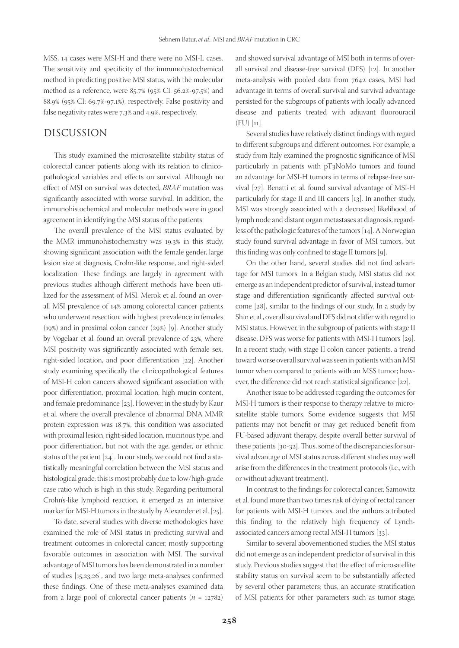MSS, 14 cases were MSI-H and there were no MSI-L cases. The sensitivity and specificity of the immunohistochemical method in predicting positive MSI status, with the molecular method as a reference, were 85.7% (95% CI: 56.2%-97.5%) and 88.9% (95% CI: 69.7%-97.1%), respectively. False positivity and false negativity rates were 7.3% and 4.9%, respectively.

## DISCUSSION

This study examined the microsatellite stability status of colorectal cancer patients along with its relation to clinicopathological variables and effects on survival. Although no effect of MSI on survival was detected, *BRAF* mutation was significantly associated with worse survival. In addition, the immunohistochemical and molecular methods were in good agreement in identifying the MSI status of the patients.

The overall prevalence of the MSI status evaluated by the MMR immunohistochemistry was 19.3% in this study, showing significant association with the female gender, large lesion size at diagnosis, Crohn-like response, and right-sided localization. These findings are largely in agreement with previous studies although different methods have been utilized for the assessment of MSI. Merok et al. found an overall MSI prevalence of 14% among colorectal cancer patients who underwent resection, with highest prevalence in females (19%) and in proximal colon cancer (29%) [9]. Another study by Vogelaar et al. found an overall prevalence of 23%, where MSI positivity was significantly associated with female sex, right-sided location, and poor differentiation [22]. Another study examining specifically the clinicopathological features of MSI-H colon cancers showed significant association with poor differentiation, proximal location, high mucin content, and female predominance [23]. However, in the study by Kaur et al. where the overall prevalence of abnormal DNA MMR protein expression was 18.7%, this condition was associated with proximal lesion, right-sided location, mucinous type, and poor differentiation, but not with the age, gender, or ethnic status of the patient [24]. In our study, we could not find a statistically meaningful correlation between the MSI status and histological grade; this is most probably due to low/high-grade case ratio which is high in this study. Regarding peritumoral Crohn's-like lymphoid reaction, it emerged as an intensive marker for MSI-H tumors in the study by Alexander et al. [25].

To date, several studies with diverse methodologies have examined the role of MSI status in predicting survival and treatment outcomes in colorectal cancer, mostly supporting favorable outcomes in association with MSI. The survival advantage of MSI tumors has been demonstrated in a number of studies [15,23,26], and two large meta-analyses confirmed these findings. One of these meta-analyses examined data from a large pool of colorectal cancer patients (*n* = 12782)

and showed survival advantage of MSI both in terms of overall survival and disease-free survival (DFS) [12]. In another meta-analysis with pooled data from 7642 cases, MSI had advantage in terms of overall survival and survival advantage persisted for the subgroups of patients with locally advanced disease and patients treated with adjuvant fluorouracil  $(FU)$  [11].

Several studies have relatively distinct findings with regard to different subgroups and different outcomes. For example, a study from Italy examined the prognostic significance of MSI particularly in patients with pT3N0M0 tumors and found an advantage for MSI-H tumors in terms of relapse-free survival [27]. Benatti et al. found survival advantage of MSI-H particularly for stage II and III cancers [13]. In another study, MSI was strongly associated with a decreased likelihood of lymph node and distant organ metastases at diagnosis, regardless of the pathologic features of the tumors [14]. A Norwegian study found survival advantage in favor of MSI tumors, but this finding was only confined to stage II tumors [9].

On the other hand, several studies did not find advantage for MSI tumors. In a Belgian study, MSI status did not emerge as an independent predictor of survival, instead tumor stage and differentiation significantly affected survival outcome [28], similar to the findings of our study. In a study by Shin et al., overall survival and DFS did not differ with regard to MSI status. However, in the subgroup of patients with stage II disease, DFS was worse for patients with MSI-H tumors [29]. In a recent study, with stage II colon cancer patients, a trend toward worse overall survival was seen in patients with an MSI tumor when compared to patients with an MSS tumor; however, the difference did not reach statistical significance [22].

Another issue to be addressed regarding the outcomes for MSI-H tumors is their response to therapy relative to microsatellite stable tumors. Some evidence suggests that MSI patients may not benefit or may get reduced benefit from FU-based adjuvant therapy, despite overall better survival of these patients [30-32]. Thus, some of the discrepancies for survival advantage of MSI status across different studies may well arise from the differences in the treatment protocols (i.e., with or without adjuvant treatment).

In contrast to the findings for colorectal cancer, Samowitz et al. found more than two times risk of dying of rectal cancer for patients with MSI-H tumors, and the authors attributed this finding to the relatively high frequency of Lynchassociated cancers among rectal MSI-H tumors [33].

Similar to several abovementioned studies, the MSI status did not emerge as an independent predictor of survival in this study. Previous studies suggest that the effect of microsatellite stability status on survival seem to be substantially affected by several other parameters; thus, an accurate stratification of MSI patients for other parameters such as tumor stage,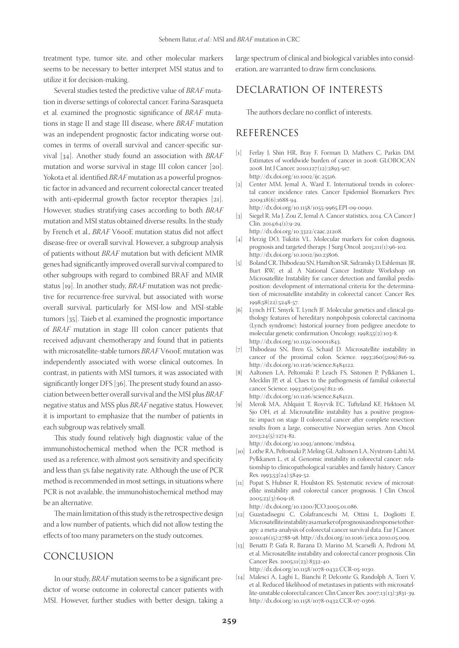treatment type, tumor site, and other molecular markers seems to be necessary to better interpret MSI status and to utilize it for decision-making.

Several studies tested the predictive value of *BRAF* mutation in diverse settings of colorectal cancer. Farina-Sarasqueta et al. examined the prognostic significance of *BRAF* mutations in stage II and stage III disease, where *BRAF* mutation was an independent prognostic factor indicating worse outcomes in terms of overall survival and cancer-specific survival [34]. Another study found an association with *BRAF* mutation and worse survival in stage III colon cancer [20]. Yokota et al. identified *BRAF* mutation as a powerful prognostic factor in advanced and recurrent colorectal cancer treated with anti-epidermal growth factor receptor therapies [21]. However, studies stratifying cases according to both *BRAF* mutation and MSI status obtained diverse results. In the study by French et al., *BRAF* V600E mutation status did not affect disease-free or overall survival. However, a subgroup analysis of patients without *BRAF* mutation but with deficient MMR genes had significantly improved overall survival compared to other subgroups with regard to combined BRAF and MMR status [19]. In another study, *BRAF* mutation was not predictive for recurrence-free survival, but associated with worse overall survival, particularly for MSI-low and MSI-stable tumors [35]. Taieb et al. examined the prognostic importance of *BRAF* mutation in stage III colon cancer patients that received adjuvant chemotherapy and found that in patients with microsatellite-stable tumors *BRAF* V600E mutation was independently associated with worse clinical outcomes. In contrast, in patients with MSI tumors, it was associated with significantly longer DFS [36]. The present study found an association between better overall survival and the MSI plus *BRAF* negative status and MSS plus *BRAF* negative status. However, it is important to emphasize that the number of patients in each subgroup was relatively small.

This study found relatively high diagnostic value of the immunohistochemical method when the PCR method is used as a reference, with almost 90% sensitivity and specificity and less than 5% false negativity rate. Although the use of PCR method is recommended in most settings, in situations where PCR is not available, the immunohistochemical method may be an alternative.

The main limitation of this study is the retrospective design and a low number of patients, which did not allow testing the effects of too many parameters on the study outcomes.

#### CONCLUSION

In our study, *BRAF* mutation seems to be a significant predictor of worse outcome in colorectal cancer patients with MSI. However, further studies with better design, taking a large spectrum of clinical and biological variables into consideration, are warranted to draw firm conclusions.

# DECLARATION OF INTERESTS

The authors declare no conflict of interests.

## REFERENCES

- [1] Ferlay J, Shin HR, Bray F, Forman D, Mathers C, Parkin DM. Estimates of worldwide burden of cancer in 2008: GLOBOCAN 2008. Int J Cancer. 2010;127(12):2893-917. http://dx.doi.org/10.1002/ijc.25516.
- [2] Center MM, Jemal A, Ward E. International trends in colorectal cancer incidence rates. Cancer Epidemiol Biomarkers Prev. 2009;18(6):1688-94. http://dx.doi.org/10.1158/1055-9965.EPI-09-0090.
- [3] Siegel R, Ma J, Zou Z, Jemal A. Cancer statistics, 2014. CA Cancer J Clin. 2014;64(1):9-29.
- http://dx.doi.org/10.3322/caac.21208.
- [4] Herzig DO, Tsikitis VL. Molecular markers for colon diagnosis, prognosis and targeted therapy. J Surg Oncol. 2015;111(1):96-102. http://dx.doi.org/10.1002/jso.23806.
- [5] Boland CR, Thibodeau SN, Hamilton SR, Sidransky D, Eshleman JR, Burt RW, et al. A National Cancer Institute Workshop on Microsatellite Instability for cancer detection and familial predisposition: development of international criteria for the determination of microsatellite instability in colorectal cancer. Cancer Res. 1998;58(22):5248-57.
- [6] Lynch HT, Smyrk T, Lynch JF. Molecular genetics and clinical-pathology features of hereditary nonpolyposis colorectal carcinoma (Lynch syndrome): historical journey from pedigree anecdote to molecular genetic confirmation. Oncology. 1998;55(2):103-8. http://dx.doi.org/10.1159/000011843.
- [7] Thibodeau SN, Bren G, Schaid D. Microsatellite instability in cancer of the proximal colon. Science. 1993;260(5109):816-19. http://dx.doi.org/10.1126/science.8484122.
- [8] Aaltonen LA, Peltomaki P, Leach FS, Sistonen P, Pylkkanen L, Mecklin JP, et al. Clues to the pathogenesis of familial colorectal cancer. Science. 1993;260(5109):812-16. http://dx.doi.org/10.1126/science.8484121.
- [9] Merok MA, Ahlquist T, Royrvik EC, Tufteland KF, Hektoen M, Sjo OH, et al. Microsatellite instability has a positive prognostic impact on stage II colorectal cancer after complete resection: results from a large, consecutive Norwegian series. Ann Oncol. 2013;24(5):1274-82.

http://dx.doi.org/10.1093/annonc/mds614.

- [10] Lothe RA, Peltomaki P, Meling GI, Aaltonen LA, Nystrom-Lahti M, Pylkkanen L, et al. Genomic instability in colorectal cancer: relationship to clinicopathological variables and family history. Cancer Res. 1993;53(24):5849-52.
- [11] Popat S, Hubner R, Houlston RS. Systematic review of microsatellite instability and colorectal cancer prognosis. J Clin Oncol. 2005;23(3):609-18. http://dx.doi.org/10.1200/JCO.2005.01.086.
- [12] Guastadisegni C, Colafranceschi M, Ottini L, Dogliotti E. Microsatellite instability as a marker of prognosis and response to therapy: a meta-analysis of colorectal cancer survival data. Eur J Cancer. 2010;46(15):2788-98. http://dx.doi.org/10.1016/j.ejca.2010.05.009.
- [13] Benatti P, Gafa R, Barana D, Marino M, Scarselli A, Pedroni M, et al. Microsatellite instability and colorectal cancer prognosis. Clin Cancer Res. 2005;11(23):8332-40. http://dx.doi.org/10.1158/1078-0432.CCR-05-1030.
- [14] Malesci A, Laghi L, Bianchi P, Delconte G, Randolph A, Torri V, et al. Reduced likelihood of metastases in patients with microsatellite-unstable colorectal cancer. Clin Cancer Res. 2007;13(13):3831-39. http://dx.doi.org/10.1158/1078-0432.CCR-07-0366.